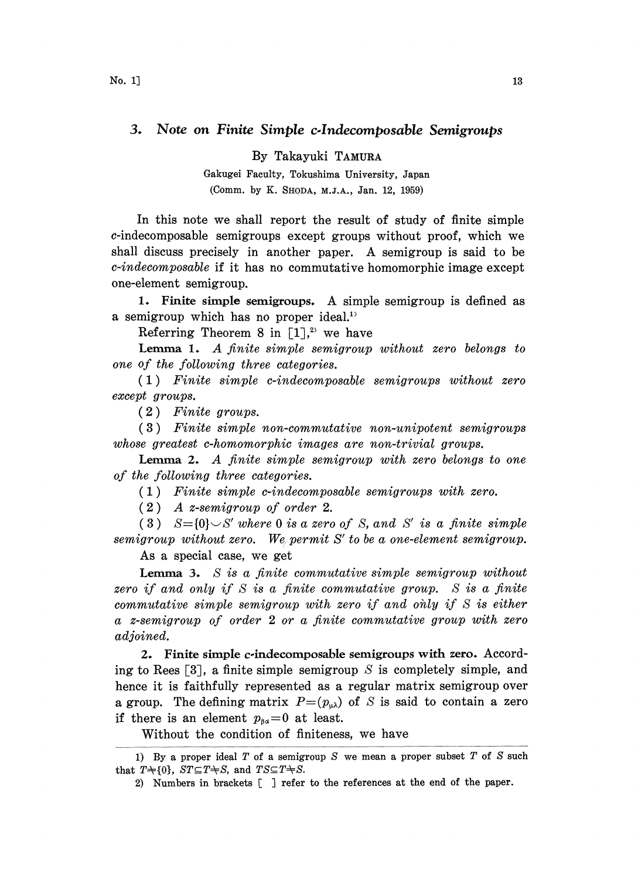## 3. Note on Finite Simple c.lndecomposable Semigroups

By Takayuki TAMURA

Gakugei Faculty, Tokushima University, Japan (Comm. by K. SHODA, M.J.A., Jan. 12, 1959)

In this note we shall report the result of study of finite simple c-indecomposable semigroups except groups without proof, which we shall discuss precisely in another paper. A semigroup is said to be c-indecomposable if it has no commutative homomorphic image except one-element semigroup.

1. Finite simple semigroups. A simple semigroup is defined as a semigroup which has no proper ideal.

Referring Theorem 8 in  $[1]<sup>2</sup>$  we have

Lemma 1. A finite simple semigroup without zero belongs to one of the following three categories.

(1) Finite simple c-indecomposable semigroups without zero except groups.

( 2 Finite groups.

( 3 Finite simple non-commutative non-unipotent semigroups whose greatest c-homomorphic images are non-trivial groups.

Lemma 2. A finite simple semigroup with zero belongs to one of the following three categories.

(1) Finite simple c-indecomposable semigroups with zero.

(2) A z-semigroup of order 2.

(3)  $S = \{0\} \cup S'$  where 0 is a zero of S, and S' is a finite simple semigroup without zero. We permit S' to be a one-element semigroup.

As a special case, we get

**Lemma 3.** S is a finite commutative simple semigroup without zero if and only if  $S$  is a finite commutative group.  $S$  is a finite commutative simple semigroup with zero if and only if  $S$  is either a z-semigroup of order 2 or a finite commutative group with zero adjoined.

2. Finite simple c-indecomposable semigroups with zero. According to Rees  $\lceil 3 \rceil$ , a finite simple semigroup S is completely simple, and hence it is faithfully represented as a regular matrix semigroup over a group. The defining matrix  $P=(p_{\mu\lambda})$  of S is said to contain a zero if there is an element  $p_{\beta a}=0$  at least.

Without the condition of finiteness, we have

<sup>1)</sup> By a proper ideal  $T$  of a semigroup  $S$  we mean a proper subset  $T$  of  $S$  such that  $T\text{+}\{0\}$ ,  $ST\text{ }\subseteq T\text{+}S$ , and  $TS\text{ }\subseteq T\text{+}S$ .

<sup>2)</sup> Numbers in brackets [ ] refer to the references at the end of the paper.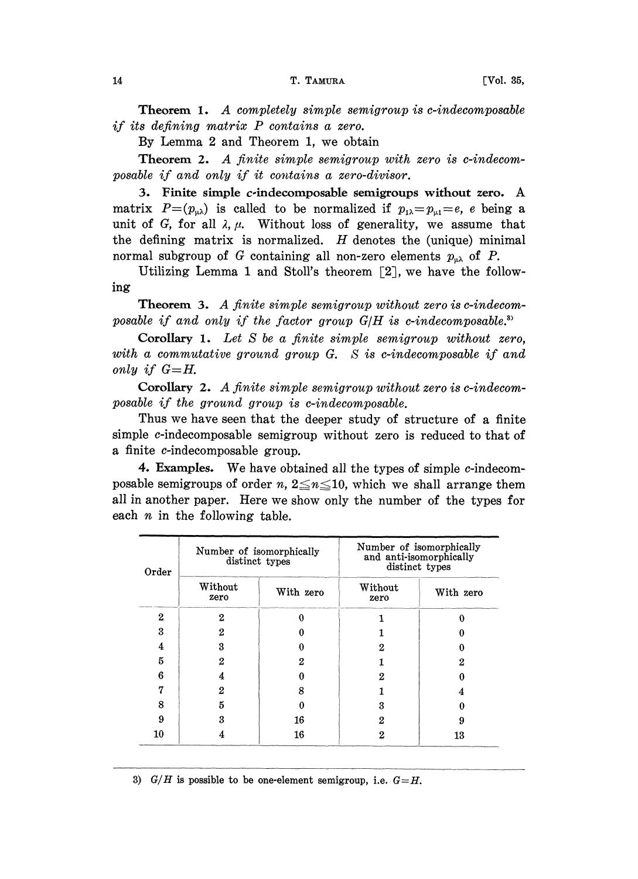Theorem 1. A completely simple semigroup is c-indecomposable if its defining matrix P contains <sup>a</sup> zero.

By Lemma 2 and Theorem 1, we obtain

Theorem 2. A finite simple semigroup with zero is c-indecomposable if and only if it contains a zero-divisor.

3. Finite simple c-indecomposable semigroups without zero. A matrix  $P=(p_{\mu\lambda})$  is called to be normalized if  $p_{\mu\lambda}=p_{\mu\lambda}=e$ , e being a unit of G, for all  $\lambda$ ,  $\mu$ . Without loss of generality, we assume that the defining matrix is normalized.  $H$  denotes the (unique) minimal normal subgroup of G containing all non-zero elements  $p_{\mu\lambda}$  of P.

Utilizing Lemma 1 and Stoll's theorem  $[2]$ , we have the following

**Theorem 3.** A finite simple semigroup without zero is c-indecomposable if and only if the factor group  $G/H$  is c-indecomposable.<sup>3)</sup>

Corollary 1. Let S be a finite simple semigroup without zero, with a commutative ground group G. S is c-indecomposable if and only if  $G=H$ .

Corollary 2. A finite simple semigroup without zero is c-indecomposable if the ground group is c-indecomposable.

Thus we have seen that the deeper study of structure of a finite simple c-indecomposable semigroup without zero is reduced to that of a finite c-indecomposable group.

4. Examples. We have obtained all the types of simple  $c$ -indecomposable semigroups of order n,  $2 \leq n \leq 10$ , which we shall arrange them all in another paper. Here we show only the number of the types for each  $n$  in the following table.

| Order        | Number of isomorphically<br>distinct types |           | Number of isomorphically<br>and anti-isomorphically<br>distinct types |           |
|--------------|--------------------------------------------|-----------|-----------------------------------------------------------------------|-----------|
|              | Without<br>zero                            | With zero | Without<br>zero                                                       | With zero |
| $\mathbf{2}$ | 2                                          |           |                                                                       |           |
| 3            | 2                                          |           |                                                                       |           |
| 4            | 3                                          |           | 2                                                                     |           |
| 5            | 2                                          | 2         |                                                                       | 2         |
| 6            | 4                                          | 0         | 2                                                                     |           |
| 17           | 2                                          | 8         |                                                                       |           |
| 8            | 5                                          | 0         | 3                                                                     |           |
| 9            | 3                                          | 16        | 2                                                                     |           |
| 10           |                                            | 16        | 2                                                                     | 13        |

3)  $G/H$  is possible to be one-element semigroup, i.e.  $G=H$ .